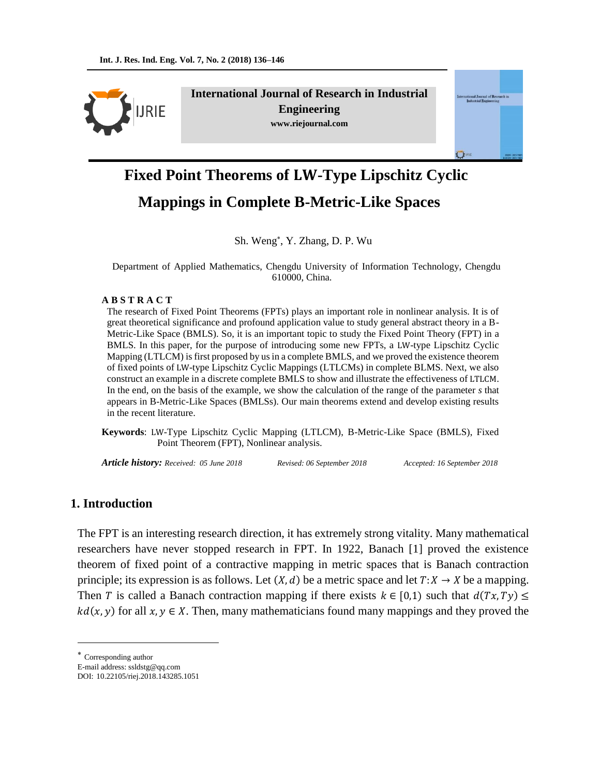

**International Journal of Research in Industrial Engineering www.riejournal.com**



# **Fixed Point Theorems of LW-Type Lipschitz Cyclic Mappings in Complete B-Metric-Like Spaces**

Sh. Weng , Y. Zhang, D. P. Wu

Department of Applied Mathematics, Chengdu University of Information Technology, Chengdu 610000, China.

#### **A B S T R A C T**

The research of Fixed Point Theorems (FPTs) plays an important role in nonlinear analysis. It is of great theoretical significance and profound application value to study general abstract theory in a B-Metric-Like Space (BMLS). So, it is an important topic to study the Fixed Point Theory (FPT) in a BMLS. In this paper, for the purpose of introducing some new FPTs, a LW-type Lipschitz Cyclic Mapping (LTLCM) is first proposed by us in a complete BMLS, and we proved the existence theorem of fixed points of LW-type Lipschitz Cyclic Mappings (LTLCMs) in complete BLMS. Next, we also construct an example in a discrete complete BMLS to show and illustrate the effectiveness of LTLCM. In the end, on the basis of the example, we show the calculation of the range of the parameter *s* that appears in B-Metric-Like Spaces (BMLSs). Our main theorems extend and develop existing results in the recent literature.

**Keywords**: LW-Type Lipschitz Cyclic Mapping (LTLCM), B-Metric-Like Space (BMLS), Fixed Point Theorem (FPT), Nonlinear analysis.

*Article history: Received: 05 June 2018 Revised: 06 September 2018 Accepted: 16 September 2018*

## **1. Introduction**

The FPT is an interesting research direction, it has extremely strong vitality. Many mathematical researchers have never stopped research in FPT. In 1922, Banach [1] proved the existence theorem of fixed point of a contractive mapping in metric spaces that is Banach contraction principle; its expression is as follows. Let  $(X, d)$  be a metric space and let  $T: X \to X$  be a mapping. Then T is called a Banach contraction mapping if there exists  $k \in [0,1)$  such that  $d(Tx, Ty) \le$  $kd(x, y)$  for all  $x, y \in X$ . Then, many mathematicians found many mappings and they proved the

 $\overline{a}$ 

Corresponding author

E-mail address: ssldstg@qq.com

DOI: 10.22105/riej.2018.143285.1051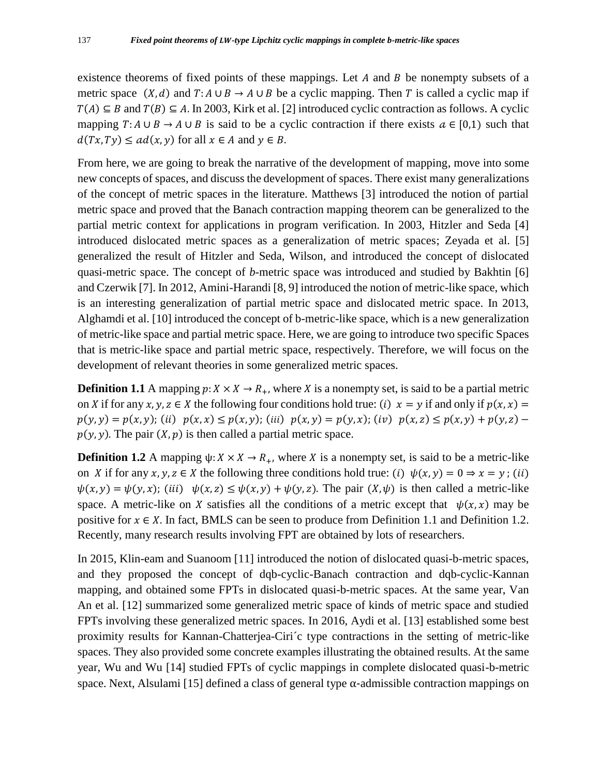existence theorems of fixed points of these mappings. Let  $A$  and  $B$  be nonempty subsets of a metric space  $(X, d)$  and  $T: A \cup B \rightarrow A \cup B$  be a cyclic mapping. Then T is called a cyclic map if  $T(A) \subseteq B$  and  $T(B) \subseteq A$ . In 2003, Kirk et al. [2] introduced cyclic contraction as follows. A cyclic mapping  $T: A \cup B \rightarrow A \cup B$  is said to be a cyclic contraction if there exists  $a \in [0,1)$  such that  $d(Tx, Ty) \leq ad(x, y)$  for all  $x \in A$  and  $y \in B$ .

From here, we are going to break the narrative of the development of mapping, move into some new concepts of spaces, and discuss the development of spaces. There exist many generalizations of the concept of metric spaces in the literature. Matthews [3] introduced the notion of partial metric space and proved that the Banach contraction mapping theorem can be generalized to the partial metric context for applications in program verification. In 2003, Hitzler and Seda [4] introduced dislocated metric spaces as a generalization of metric spaces; Zeyada et al. [5] generalized the result of Hitzler and Seda, Wilson, and introduced the concept of dislocated quasi-metric space. The concept of *b*-metric space was introduced and studied by Bakhtin [6] and Czerwik [7]. In 2012, Amini-Harandi [8, 9] introduced the notion of metric-like space, which is an interesting generalization of partial metric space and dislocated metric space. In 2013, Alghamdi et al. [10] introduced the concept of b-metric-like space, which is a new generalization of metric-like space and partial metric space. Here, we are going to introduce two specific Spaces that is metric-like space and partial metric space, respectively. Therefore, we will focus on the development of relevant theories in some generalized metric spaces.

**Definition 1.1** A mapping  $p: X \times X \to R_+$ , where X is a nonempty set, is said to be a partial metric on X if for any x, y,  $z \in X$  the following four conditions hold true: (i)  $x = y$  if and only if  $p(x, x) =$  $p(y, y) = p(x, y);$  (ii)  $p(x, x) \leq p(x, y);$  (iii)  $p(x, y) = p(y, x);$  (iv)  $p(x, z) \leq p(x, y) + p(y, z)$  $p(y, y)$ . The pair  $(X, p)$  is then called a partial metric space.

**Definition 1.2** A mapping  $\psi: X \times X \to R_+$ , where X is a nonempty set, is said to be a metric-like on X if for any  $x, y, z \in X$  the following three conditions hold true: (i)  $\psi(x, y) = 0 \Rightarrow x = y$ ; (ii)  $\psi(x, y) = \psi(y, x)$ ; (iii)  $\psi(x, z) \leq \psi(x, y) + \psi(y, z)$ . The pair  $(X, \psi)$  is then called a metric-like space. A metric-like on X satisfies all the conditions of a metric except that  $\psi(x, x)$  may be positive for  $x \in X$ . In fact, BMLS can be seen to produce from Definition 1.1 and Definition 1.2. Recently, many research results involving FPT are obtained by lots of researchers.

In 2015, Klin-eam and Suanoom [11] introduced the notion of dislocated quasi-b-metric spaces, and they proposed the concept of dqb-cyclic-Banach contraction and dqb-cyclic-Kannan mapping, and obtained some FPTs in dislocated quasi-b-metric spaces. At the same year, Van An et al. [12] summarized some generalized metric space of kinds of metric space and studied FPTs involving these generalized metric spaces. In 2016, Aydi et al. [13] established some best proximity results for Kannan-Chatterjea-Ciri´c type contractions in the setting of metric-like spaces. They also provided some concrete examples illustrating the obtained results. At the same year, Wu and Wu [14] studied FPTs of cyclic mappings in complete dislocated quasi-b-metric space. Next, Alsulami [15] defined a class of general type  $\alpha$ -admissible contraction mappings on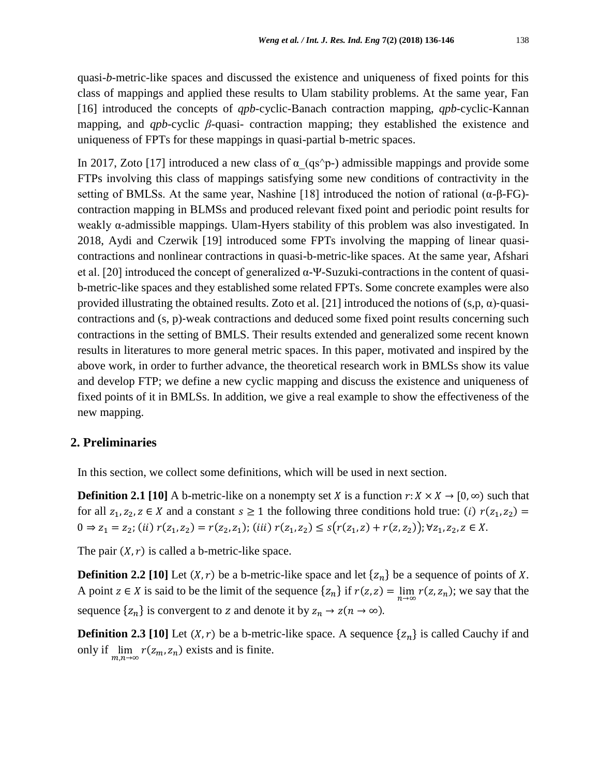quasi-*b*-metric-like spaces and discussed the existence and uniqueness of fixed points for this class of mappings and applied these results to Ulam stability problems. At the same year, Fan [16] introduced the concepts of *qpb*-cyclic-Banach contraction mapping, *qpb*-cyclic-Kannan mapping, and *qpb*-cyclic *β*-quasi- contraction mapping; they established the existence and uniqueness of FPTs for these mappings in quasi-partial b-metric spaces.

In 2017, Zoto [17] introduced a new class of  $\alpha$  (qs^p-) admissible mappings and provide some FTPs involving this class of mappings satisfying some new conditions of contractivity in the setting of BMLSs. At the same year, Nashine [18] introduced the notion of rational  $(\alpha$ - $\beta$ - $FG)$ contraction mapping in BLMSs and produced relevant fixed point and periodic point results for weakly α-admissible mappings. Ulam-Hyers stability of this problem was also investigated. In 2018, Aydi and Czerwik [19] introduced some FPTs involving the mapping of linear quasicontractions and nonlinear contractions in quasi-b-metric-like spaces. At the same year, Afshari et al. [20] introduced the concept of generalized  $\alpha$ -Ψ-Suzuki-contractions in the content of quasib-metric-like spaces and they established some related FPTs. Some concrete examples were also provided illustrating the obtained results. Zoto et al. [21] introduced the notions of  $(s, p, \alpha)$ -quasicontractions and (s, p)-weak contractions and deduced some fixed point results concerning such contractions in the setting of BMLS. Their results extended and generalized some recent known results in literatures to more general metric spaces. In this paper, motivated and inspired by the above work, in order to further advance, the theoretical research work in BMLSs show its value and develop FTP; we define a new cyclic mapping and discuss the existence and uniqueness of fixed points of it in BMLSs. In addition, we give a real example to show the effectiveness of the new mapping.

### **2. Preliminaries**

In this section, we collect some definitions, which will be used in next section.

**Definition 2.1 [10]** A b-metric-like on a nonempty set X is a function  $r: X \times X \to [0, \infty)$  such that for all  $z_1, z_2, z \in X$  and a constant  $s \ge 1$  the following three conditions hold true: (i)  $r(z_1, z_2) =$  $0 \Rightarrow z_1 = z_2$ ; (ii)  $r(z_1, z_2) = r(z_2, z_1)$ ; (iii)  $r(z_1, z_2) \leq s(r(z_1, z) + r(z, z_2))$ ; ∀z<sub>1</sub>, z<sub>2</sub>, z ∈ X.

The pair  $(X, r)$  is called a b-metric-like space.

**Definition 2.2 [10]** Let  $(X, r)$  be a b-metric-like space and let  $\{z_n\}$  be a sequence of points of X. A point  $z \in X$  is said to be the limit of the sequence  $\{z_n\}$  if  $r(z, z) = \lim_{n \to \infty} r(z, z_n)$ ; we say that the sequence  $\{z_n\}$  is convergent to z and denote it by  $z_n \to z(n \to \infty)$ .

**Definition 2.3 [10]** Let  $(X, r)$  be a b-metric-like space. A sequence  $\{z_n\}$  is called Cauchy if and only if  $\lim_{m,n\to\infty} r(z_m, z_n)$  exists and is finite.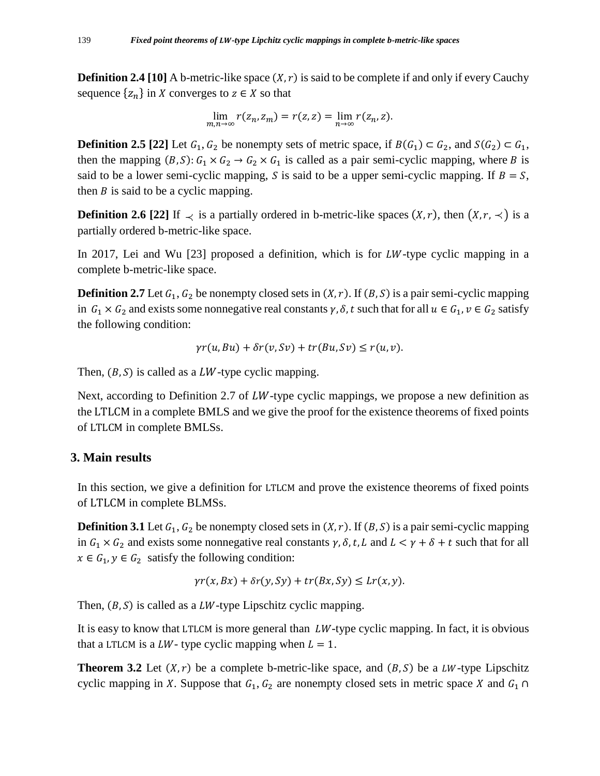**Definition 2.4 [10]** A b-metric-like space  $(X, r)$  is said to be complete if and only if every Cauchy sequence  $\{z_n\}$  in X converges to  $z \in X$  so that

$$
\lim_{m,n\to\infty} r(z_n, z_m) = r(z, z) = \lim_{n\to\infty} r(z_n, z).
$$

**Definition 2.5** [22] Let  $G_1, G_2$  be nonempty sets of metric space, if  $B(G_1) \subset G_2$ , and  $S(G_2) \subset G_1$ , then the mapping  $(B, S): G_1 \times G_2 \to G_2 \times G_1$  is called as a pair semi-cyclic mapping, where B is said to be a lower semi-cyclic mapping, S is said to be a upper semi-cyclic mapping. If  $B = S$ , then  $B$  is said to be a cyclic mapping.

**Definition 2.6 [22]** If  $\prec$  is a partially ordered in b-metric-like spaces  $(X, r)$ , then  $(X, r, \prec)$  is a partially ordered b-metric-like space.

In 2017, Lei and Wu  $[23]$  proposed a definition, which is for *LW*-type cyclic mapping in a complete b-metric-like space.

**Definition 2.7** Let  $G_1$ ,  $G_2$  be nonempty closed sets in  $(X, r)$ . If  $(B, S)$  is a pair semi-cyclic mapping in  $G_1 \times G_2$  and exists some nonnegative real constants  $\gamma$ ,  $\delta$ ,  $t$  such that for all  $u \in G_1$ ,  $v \in G_2$  satisfy the following condition:

$$
\gamma r(u, Bu) + \delta r(v, Sv) + tr(Bu, Sv) \le r(u, v).
$$

Then,  $(B, S)$  is called as a LW-type cyclic mapping.

Next, according to Definition 2.7 of  $LW$ -type cyclic mappings, we propose a new definition as the LTLCM in a complete BMLS and we give the proof for the existence theorems of fixed points of LTLCM in complete BMLSs.

### **3. Main results**

In this section, we give a definition for LTLCM and prove the existence theorems of fixed points of LTLCM in complete BLMSs.

**Definition 3.1** Let  $G_1$ ,  $G_2$  be nonempty closed sets in  $(X, r)$ . If  $(B, S)$  is a pair semi-cyclic mapping in  $G_1 \times G_2$  and exists some nonnegative real constants  $\gamma$ ,  $\delta$ ,  $t$ ,  $L$  and  $L < \gamma + \delta + t$  such that for all  $x \in G_1, y \in G_2$  satisfy the following condition:

$$
\gamma r(x, Bx) + \delta r(y, Sy) + tr(Bx, Sy) \leq Lr(x, y).
$$

Then,  $(B, S)$  is called as a LW-type Lipschitz cyclic mapping.

It is easy to know that LTLCM is more general than  $LW$ -type cyclic mapping. In fact, it is obvious that a LTLCM is a LW- type cyclic mapping when  $L = 1$ .

**Theorem 3.2** Let  $(X, r)$  be a complete b-metric-like space, and  $(B, S)$  be a LW-type Lipschitz cyclic mapping in X. Suppose that  $G_1, G_2$  are nonempty closed sets in metric space X and  $G_1 \cap$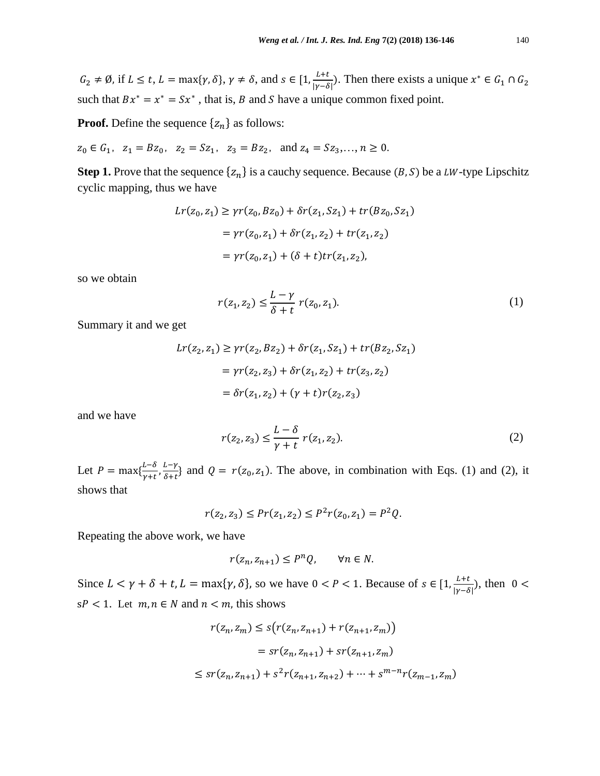$G_2 \neq \emptyset$ , if  $L \leq t$ ,  $L = \max\{\gamma, \delta\}, \gamma \neq \delta$ , and  $s \in [1, \frac{L+t}{|y-\delta|}]$  $\frac{L+t}{|\gamma-\delta|}$ ). Then there exists a unique  $x^* \in G_1 \cap G_2$ such that  $Bx^* = x^* = Sx^*$ , that is, B and S have a unique common fixed point.

**Proof.** Define the sequence  $\{z_n\}$  as follows:

 $z_0 \in G_1$ ,  $z_1 = Bz_0$ ,  $z_2 = Sz_1$ ,  $z_3 = Bz_2$ , and  $z_4 = Sz_3,..., n \ge 0$ .

**Step 1.** Prove that the sequence  $\{z_n\}$  is a cauchy sequence. Because  $(B, S)$  be a LW-type Lipschitz cyclic mapping, thus we have

$$
Lr(z_0, z_1) \ge \gamma r(z_0, Bz_0) + \delta r(z_1, Sz_1) + tr(Bz_0, Sz_1)
$$
  
=  $\gamma r(z_0, z_1) + \delta r(z_1, z_2) + tr(z_1, z_2)$   
=  $\gamma r(z_0, z_1) + (\delta + t)tr(z_1, z_2)$ ,

so we obtain

$$
r(z_1, z_2) \le \frac{L - \gamma}{\delta + t} r(z_0, z_1). \tag{1}
$$

Summary it and we get

$$
Lr(z_2, z_1) \ge \gamma r(z_2, Bz_2) + \delta r(z_1, Sz_1) + tr(Bz_2, Sz_1)
$$
  
=  $\gamma r(z_2, z_3) + \delta r(z_1, z_2) + tr(z_3, z_2)$   
=  $\delta r(z_1, z_2) + (\gamma + t)r(z_2, z_3)$ 

and we have

$$
r(z_2, z_3) \le \frac{L - \delta}{\gamma + t} \ r(z_1, z_2). \tag{2}
$$

Let  $P = \max\{\frac{L-\delta}{m}$  $\frac{L-\delta}{\gamma+t},\frac{L-\gamma}{\delta+t}$  $\frac{L-y}{\delta+t}$  and  $Q = r(z_0, z_1)$ . The above, in combination with Eqs. (1) and (2), it shows that

 $r(z_2, z_3) \le Pr(z_1, z_2) \le P^2 r(z_0, z_1) = P^2 Q.$ 

Repeating the above work, we have

$$
r(z_n, z_{n+1}) \le P^n Q, \qquad \forall n \in N.
$$

Since  $L < \gamma + \delta + t$ ,  $L = \max\{\gamma, \delta\}$ , so we have  $0 < P < 1$ . Because of  $s \in [1, \frac{L+t}{\log \delta}]$  $\frac{L+t}{|\gamma-\delta|}$ ), then 0 <  $sP < 1$ . Let  $m, n \in N$  and  $n < m$ , this shows

$$
r(z_n, z_m) \le s(r(z_n, z_{n+1}) + r(z_{n+1}, z_m))
$$
  
=  $sr(z_n, z_{n+1}) + sr(z_{n+1}, z_m)$   

$$
\le sr(z_n, z_{n+1}) + s^2r(z_{n+1}, z_{n+2}) + \dots + s^{m-n}r(z_{m-1}, z_m)
$$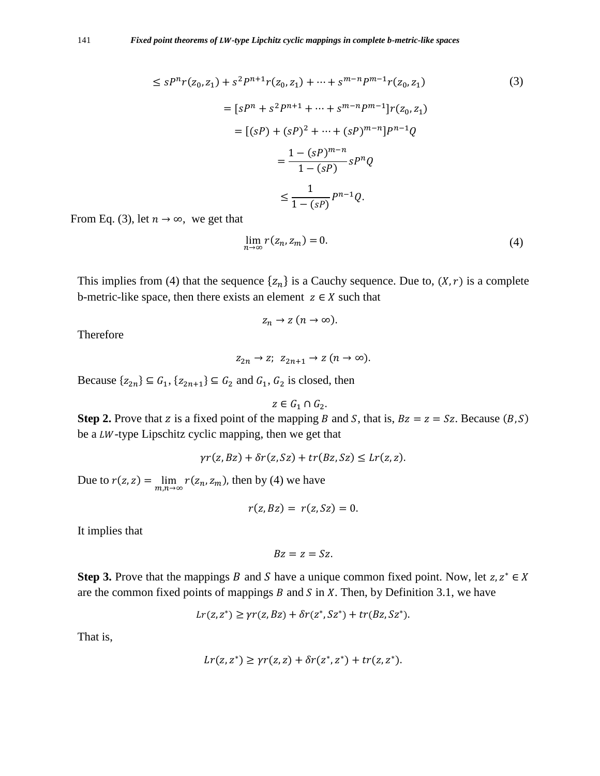$$
\leq sP^{n}r(z_{0},z_{1}) + s^{2}P^{n+1}r(z_{0},z_{1}) + \dots + s^{m-n}P^{m-1}r(z_{0},z_{1})
$$
\n
$$
= [sP^{n} + s^{2}P^{n+1} + \dots + s^{m-n}P^{m-1}]r(z_{0},z_{1})
$$
\n
$$
= [(sP) + (sP)^{2} + \dots + (sP)^{m-n}]P^{n-1}Q
$$
\n
$$
= \frac{1 - (sP)^{m-n}}{1 - (sP)}sP^{n}Q
$$
\n
$$
\leq \frac{1}{1 - (sP)}P^{n-1}Q.
$$
\n(3)

From Eq. (3), let  $n \to \infty$ , we get that

$$
\lim_{n \to \infty} r(z_n, z_m) = 0. \tag{4}
$$

This implies from (4) that the sequence  $\{z_n\}$  is a Cauchy sequence. Due to,  $(X, r)$  is a complete b-metric-like space, then there exists an element  $z \in X$  such that

$$
z_n \to z \ (n \to \infty).
$$

Therefore

$$
z_{2n} \to z; \ z_{2n+1} \to z \ (n \to \infty).
$$

Because  $\{z_{2n}\}\subseteq G_1$ ,  $\{z_{2n+1}\}\subseteq G_2$  and  $G_1$ ,  $G_2$  is closed, then

 $z \in G_1 \cap G_2$ .

**Step 2.** Prove that z is a fixed point of the mapping B and S, that is,  $Bz = z = Sz$ . Because  $(B, S)$ be a  $LW$ -type Lipschitz cyclic mapping, then we get that

$$
\gamma r(z, Bz) + \delta r(z, Sz) + tr(Bz, Sz) \leq Lr(z, z).
$$

Due to  $r(z, z) = \lim_{m, n \to \infty} r(z_n, z_m)$ , then by (4) we have

$$
r(z, Bz) = r(z, Sz) = 0.
$$

It implies that

$$
Bz=z=Sz.
$$

**Step 3.** Prove that the mappings B and S have a unique common fixed point. Now, let  $z, z^* \in X$ are the common fixed points of mappings  $B$  and  $S$  in  $X$ . Then, by Definition 3.1, we have

$$
Lr(z, z^*) \ge \gamma r(z, Bz) + \delta r(z^*, Sz^*) + tr(Bz, Sz^*).
$$

That is,

$$
Lr(z, z^*) \ge \gamma r(z, z) + \delta r(z^*, z^*) + tr(z, z^*).
$$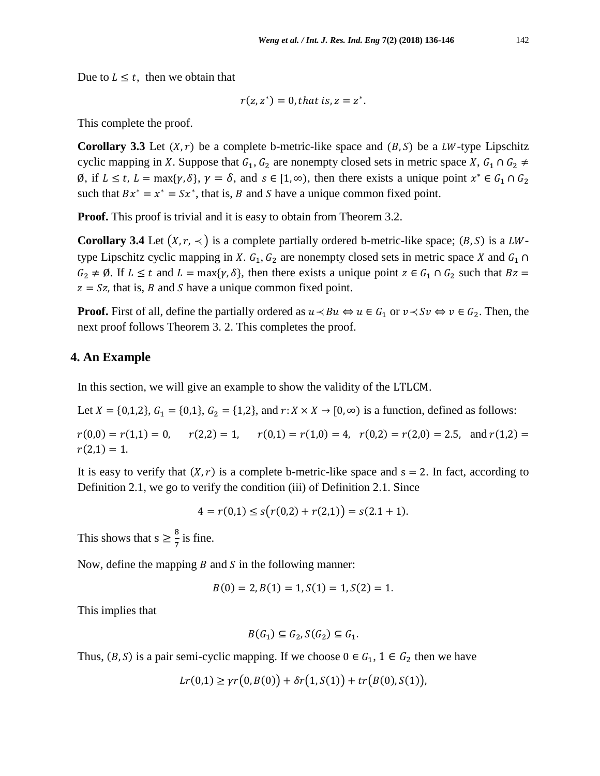Due to  $L \leq t$ , then we obtain that

$$
r(z, z^*) = 0, that is, z = z^*.
$$

This complete the proof.

**Corollary 3.3** Let  $(X, r)$  be a complete b-metric-like space and  $(B, S)$  be a LW-type Lipschitz cyclic mapping in X. Suppose that  $G_1, G_2$  are nonempty closed sets in metric space X,  $G_1 \cap G_2 \neq$  $\emptyset$ , if  $L \le t$ ,  $L = \max\{\gamma, \delta\}, \gamma = \delta$ , and  $s \in [1, \infty)$ , then there exists a unique point  $x^* \in G_1 \cap G_2$ such that  $Bx^* = x^* = Sx^*$ , that is, B and S have a unique common fixed point.

**Proof.** This proof is trivial and it is easy to obtain from Theorem 3.2.

**Corollary 3.4** Let  $(X, r, \prec)$  is a complete partially ordered b-metric-like space;  $(B, S)$  is a LWtype Lipschitz cyclic mapping in X.  $G_1$ ,  $G_2$  are nonempty closed sets in metric space X and  $G_1 \cap$  $G_2 \neq \emptyset$ . If  $L \leq t$  and  $L = \max\{ \gamma, \delta \}$ , then there exists a unique point  $z \in G_1 \cap G_2$  such that  $Bz =$  $z = Sz$ , that is, *B* and *S* have a unique common fixed point.

**Proof.** First of all, define the partially ordered as  $u \lt B u \Leftrightarrow u \in G_1$  or  $v \lt S v \Leftrightarrow v \in G_2$ . Then, the next proof follows Theorem 3. 2. This completes the proof.

## **4. An Example**

In this section, we will give an example to show the validity of the LTLCM.

Let  $X = \{0, 1, 2\}, G_1 = \{0, 1\}, G_2 = \{1, 2\}, \text{ and } r: X \times X \to [0, \infty) \text{ is a function, defined as follows:}$ 

 $r(0,0) = r(1,1) = 0$ ,  $r(2,2) = 1$ ,  $r(0,1) = r(1,0) = 4$ ,  $r(0,2) = r(2,0) = 2.5$ , and  $r(1,2) =$  $r(2,1) = 1.$ 

It is easy to verify that  $(X, r)$  is a complete b-metric-like space and  $s = 2$ . In fact, according to Definition 2.1, we go to verify the condition (iii) of Definition 2.1. Since

$$
4 = r(0,1) \le s(r(0,2) + r(2,1)) = s(2.1 + 1).
$$

This shows that  $s \geq \frac{8}{5}$  $\frac{8}{7}$  is fine.

Now, define the mapping  $B$  and  $S$  in the following manner:

$$
B(0) = 2, B(1) = 1, S(1) = 1, S(2) = 1.
$$

This implies that

$$
B(G_1) \subseteq G_2, S(G_2) \subseteq G_1.
$$

Thus,  $(B, S)$  is a pair semi-cyclic mapping. If we choose  $0 \in G_1$ ,  $1 \in G_2$  then we have

$$
Lr(0,1) \geq \gamma r(0,B(0)) + \delta r(1,S(1)) + tr(B(0),S(1)),
$$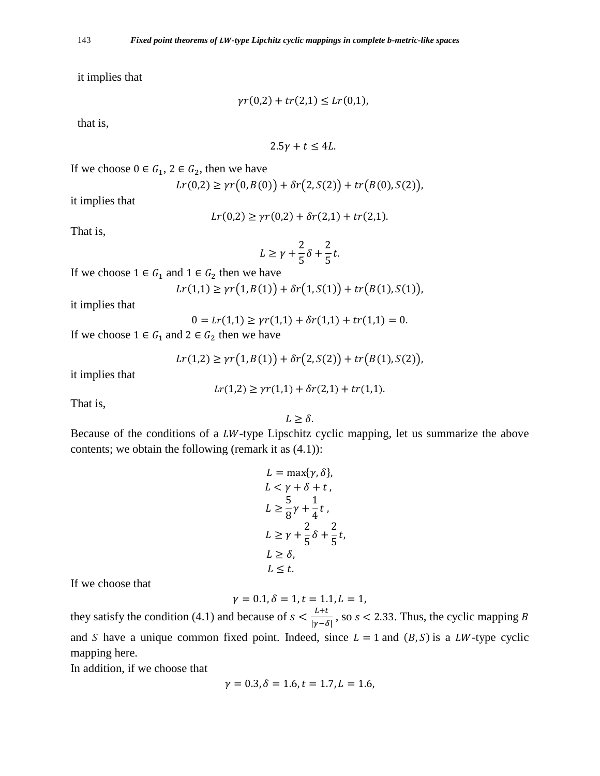it implies that

$$
\gamma r(0,2) + tr(2,1) \le L r(0,1),
$$

that is,

$$
2.5\gamma + t \leq 4L.
$$

If we choose  $0 \in G_1$ ,  $2 \in G_2$ , then we have

$$
Lr(0,2) \ge \gamma r(0,B(0)) + \delta r(2,S(2)) + tr(B(0),S(2)),
$$

it implies that

$$
Lr(0,2) \ge \gamma r(0,2) + \delta r(2,1) + tr(2,1).
$$

That is,

$$
L \ge \gamma + \frac{2}{5}\delta + \frac{2}{5}t.
$$

If we choose  $1 \in G_1$  and  $1 \in G_2$  then we have

$$
Lr(1,1) \ge \gamma r(1, B(1)) + \delta r(1, S(1)) + tr(B(1), S(1)),
$$

it implies that

$$
0 = Lr(1,1) \ge \gamma r(1,1) + \delta r(1,1) + tr(1,1) = 0.
$$

If we choose  $1 \in G_1$  and  $2 \in G_2$  then we have

$$
Lr(1,2) \ge \gamma r(1, B(1)) + \delta r(2, S(2)) + tr(B(1), S(2)),
$$

it implies that

$$
lr(1,2) \ge \gamma r(1,1) + \delta r(2,1) + tr(1,1).
$$

That is,

 $L \geq \delta$ .

Because of the conditions of a  $LW$ -type Lipschitz cyclic mapping, let us summarize the above contents; we obtain the following (remark it as  $(4.1)$ ):

$$
L = \max{\gamma, \delta},
$$
  
\n
$$
L < \gamma + \delta + t,
$$
  
\n
$$
L \ge \frac{5}{8}\gamma + \frac{1}{4}t,
$$
  
\n
$$
L \ge \gamma + \frac{2}{5}\delta + \frac{2}{5}t,
$$
  
\n
$$
L \ge \delta,
$$
  
\n
$$
L \le t.
$$

If we choose that

$$
\gamma = 0.1, \delta = 1, t = 1.1, L = 1,
$$

they satisfy the condition (4.1) and because of  $s < \frac{L+t}{\ln s}$  $\frac{E+t}{|\gamma-\delta|}$ , so s < 2.33. Thus, the cyclic mapping B and S have a unique common fixed point. Indeed, since  $L = 1$  and  $(B, S)$  is a LW-type cyclic mapping here.

In addition, if we choose that

$$
\gamma = 0.3, \delta = 1.6, t = 1.7, L = 1.6,
$$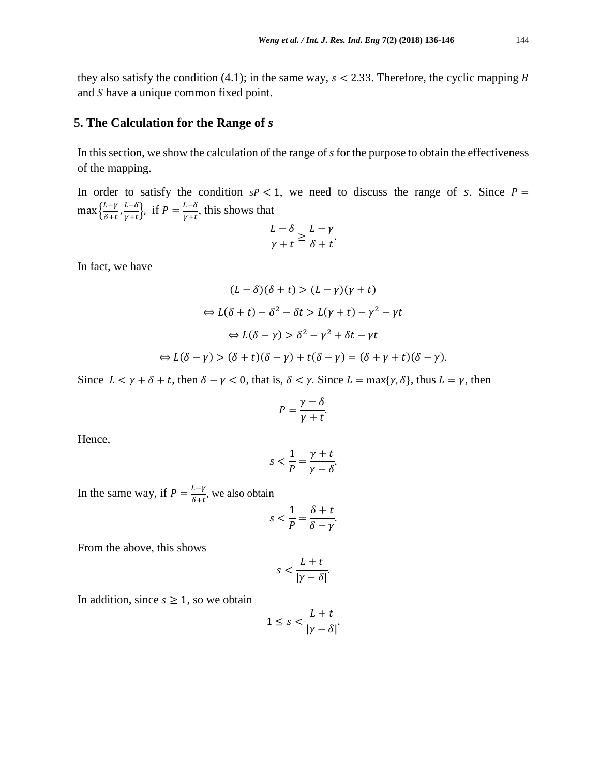they also satisfy the condition (4.1); in the same way,  $s < 2.33$ . Therefore, the cyclic mapping B and  $S$  have a unique common fixed point.

#### 5**. The Calculation for the Range of** *s*

In this section, we show the calculation of the range of *s* for the purpose to obtain the effectiveness of the mapping.

In order to satisfy the condition  $sP < 1$ , we need to discuss the range of s. Since  $P =$  $\max\left\{\frac{L-\gamma}{s+t}\right\}$  $rac{L-\gamma}{\delta+t}, \frac{L-\delta}{\gamma+t}$  $\frac{L-\delta}{\gamma+t}$ , if  $P = \frac{L-\delta}{\gamma+t}$  $\frac{L - b}{\gamma + t}$ , this shows that

$$
\frac{L-\delta}{\gamma+t} \ge \frac{L-\gamma}{\delta+t}.
$$

In fact, we have

$$
(L - \delta)(\delta + t) > (L - \gamma)(\gamma + t)
$$
\n
$$
\Leftrightarrow L(\delta + t) - \delta^2 - \delta t > L(\gamma + t) - \gamma^2 - \gamma t
$$
\n
$$
\Leftrightarrow L(\delta - \gamma) > \delta^2 - \gamma^2 + \delta t - \gamma t
$$
\n
$$
\Leftrightarrow L(\delta - \gamma) > (\delta + t)(\delta - \gamma) + t(\delta - \gamma) = (\delta + \gamma + t)(\delta - \gamma).
$$

Since  $L < \gamma + \delta + t$ , then  $\delta - \gamma < 0$ , that is,  $\delta < \gamma$ . Since  $L = \max{\gamma, \delta}$ , thus  $L = \gamma$ , then

$$
P=\frac{\gamma-\delta}{\gamma+t}.
$$

Hence,

$$
s < \frac{1}{P} = \frac{\gamma + t}{\gamma - \delta}.
$$

In the same way, if  $P = \frac{L-\gamma}{s}$  $\frac{E - V}{\delta + t}$ , we also obtain

$$
s < \frac{1}{P} = \frac{\delta + t}{\delta - \gamma}.
$$

From the above, this shows

$$
s < \frac{L+t}{|\gamma - \delta|}.
$$

In addition, since  $s \geq 1$ , so we obtain

$$
1 \leq s < \frac{L+t}{|\gamma-\delta|}.
$$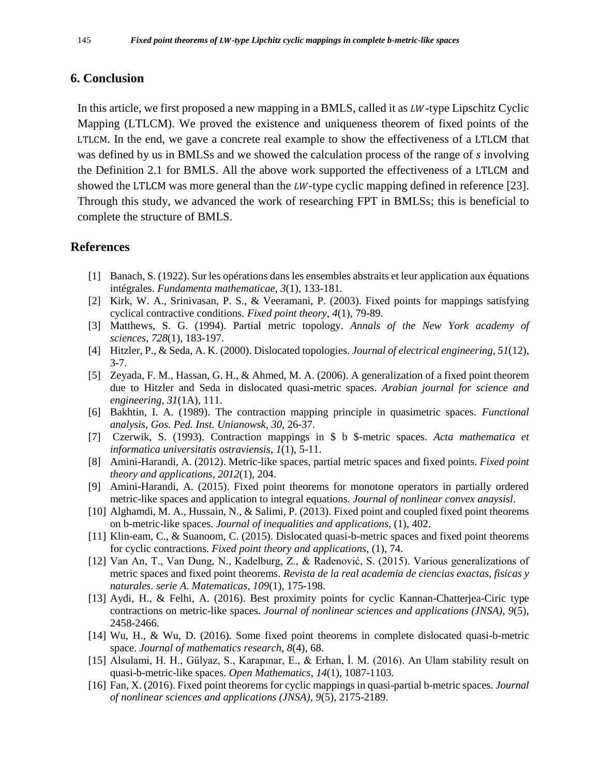## **6. Conclusion**

In this article, we first proposed a new mapping in a BMLS, called it as  $LW$ -type Lipschitz Cyclic Mapping (LTLCM). We proved the existence and uniqueness theorem of fixed points of the LTLCM. In the end, we gave a concrete real example to show the effectiveness of a LTLCM that was defined by us in BMLSs and we showed the calculation process of the range of *s* involving the Definition 2.1 for BMLS. All the above work supported the effectiveness of a LTLCM and showed the LTLCM was more general than the  $LW$ -type cyclic mapping defined in reference [23]. Through this study, we advanced the work of researching FPT in BMLSs; this is beneficial to complete the structure of BMLS.

## **References**

- [1] Banach, S. (1922). Sur les opérations dans les ensembles abstraits et leur application aux équations intégrales. *Fundamenta mathematicae*, *3*(1), 133-181.
- [2] Kirk, W. A., Srinivasan, P. S., & Veeramani, P. (2003). Fixed points for mappings satisfying cyclical contractive conditions. *Fixed point theory*, *4*(1), 79-89.
- [3] Matthews, S. G. (1994). Partial metric topology. *Annals of the New York academy of sciences*, *728*(1), 183-197.
- [4] Hitzler, P., & Seda, A. K. (2000). Dislocated topologies. *Journal of electrical engineering*, *51*(12), 3-7.
- [5] Zeyada, F. M., Hassan, G. H., & Ahmed, M. A. (2006). A generalization of a fixed point theorem due to Hitzler and Seda in dislocated quasi-metric spaces. *Arabian journal for science and engineering*, *31*(1A), 111.
- [6] Bakhtin, I. A. (1989). The contraction mapping principle in quasimetric spaces. *Functional analysis, Gos. Ped. Inst. Unianowsk*, *30*, 26-37.
- [7] Czerwik, S. (1993). Contraction mappings in \$ b \$-metric spaces. *Acta mathematica et informatica universitatis ostraviensis*, *1*(1), 5-11.
- [8] Amini-Harandi, A. (2012). Metric-like spaces, partial metric spaces and fixed points. *Fixed point theory and applications*, *2012*(1), 204.
- [9] Amini-Harandi, A. (2015). Fixed point theorems for monotone operators in partially ordered metric-like spaces and application to integral equations. *Journal of nonlinear convex anaysisl*.
- [10] Alghamdi, M. A., Hussain, N., & Salimi, P. (2013). Fixed point and coupled fixed point theorems on b-metric-like spaces. *Journal of inequalities and applications*, (1), 402.
- [11] Klin-eam, C., & Suanoom, C. (2015). Dislocated quasi-b-metric spaces and fixed point theorems for cyclic contractions. *Fixed point theory and applications*, (1), 74.
- [12] Van An, T., Van Dung, N., Kadelburg, Z., & Radenović, S. (2015). Various generalizations of metric spaces and fixed point theorems. *Revista de la real academia de ciencias exactas, fisicas y naturales. serie A. Matematicas*, *109*(1), 175-198.
- [13] Aydi, H., & Felhi, A. (2016). Best proximity points for cyclic Kannan-Chatterjea-Ciric type contractions on metric-like spaces. *Journal of nonlinear sciences and applications (JNSA)*, *9*(5), 2458-2466.
- [14] Wu, H., & Wu, D. (2016). Some fixed point theorems in complete dislocated quasi-b-metric space. *Journal of mathematics research*, *8*(4), 68.
- [15] Alsulami, H. H., Gülyaz, S., Karapınar, E., & Erhan, İ. M. (2016). An Ulam stability result on quasi-b-metric-like spaces. *Open Mathematics*, *14*(1), 1087-1103.
- [16] Fan, X. (2016). Fixed point theorems for cyclic mappings in quasi-partial b-metric spaces. *Journal of nonlinear sciences and applications (JNSA)*, *9*(5), 2175-2189.